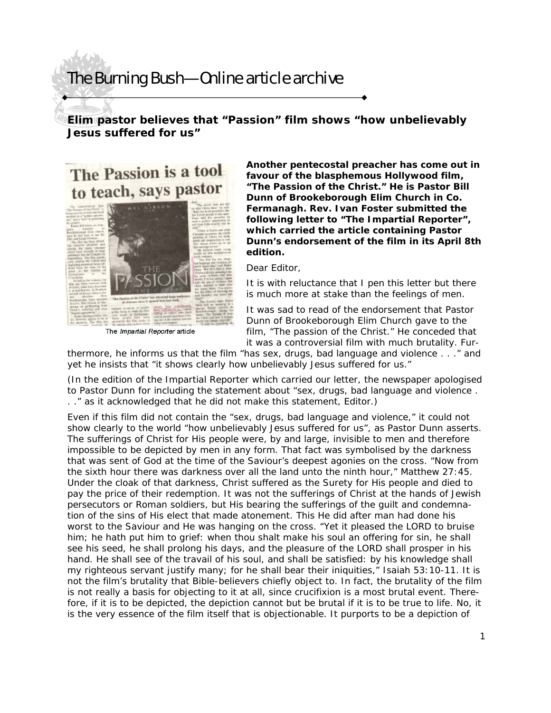## The Burning Bush—Online article archive

## **Elim pastor believes that "Passion" film shows "how unbelievably Jesus suffered for us"**

## The Passion is a tool to teach, says pastor



The *Impartial Reporter* article

**Another pentecostal preacher has come out in favour of the blasphemous Hollywood film, "The Passion of the Christ." He is Pastor Bill Dunn of Brookeborough Elim Church in Co. Fermanagh. Rev. Ivan Foster submitted the following letter to "The Impartial Reporter", which carried the article containing Pastor Dunn's endorsement of the film in its April 8th edition.** 

Dear Editor,

It is with reluctance that I pen this letter but there is much more at stake than the feelings of men.

It was sad to read of the endorsement that Pastor Dunn of Brookeborough Elim Church gave to the film, "The passion of the Christ." He conceded that it was a controversial film with much brutality. Fur-

thermore, he informs us that the film "has sex, drugs, bad language and violence . . ." and yet he insists that "it shows clearly how unbelievably Jesus suffered for us."

(In the edition of the Impartial Reporter which carried our letter, the newspaper apologised to Pastor Dunn for including the statement about "sex, drugs, bad language and violence . . ." as it acknowledged that he did not make this statement, Editor.)

Even if this film did not contain the "sex, drugs, bad language and violence," it could not show clearly to the world "how unbelievably Jesus suffered for us", as Pastor Dunn asserts. The sufferings of Christ for His people were, by and large, invisible to men and therefore impossible to be depicted by men in any form. That fact was symbolised by the darkness that was sent of God at the time of the Saviour's deepest agonies on the cross. "Now from the sixth hour there was darkness over all the land unto the ninth hour," Matthew 27:45. Under the cloak of that darkness, Christ suffered as the Surety for His people and died to pay the price of their redemption. It was not the sufferings of Christ at the hands of Jewish persecutors or Roman soldiers, but His bearing the sufferings of the guilt and condemnation of the sins of His elect that made atonement. This He did after man had done his worst to the Saviour and He was hanging on the cross. "Yet it pleased the LORD to bruise him; he hath put him to grief: when thou shalt make his soul an offering for sin, he shall see his seed, he shall prolong his days, and the pleasure of the LORD shall prosper in his hand. He shall see of the travail of his soul, and shall be satisfied: by his knowledge shall my righteous servant justify many; for he shall bear their iniquities," Isaiah 53:10-11. It is not the film's brutality that Bible-believers chiefly object to. In fact, the brutality of the film is not really a basis for objecting to it at all, since crucifixion is a most brutal event. Therefore, if it is to be depicted, the depiction cannot but be brutal if it is to be true to life. No, it is the very essence of the film itself that is objectionable. It purports to be a depiction of